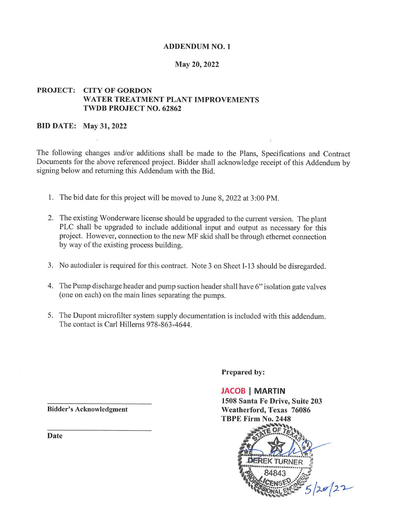#### **ADDENDUM NO. 1**

#### May 20, 2022

#### **PROJECT: CITY OF GORDON** WATER TREATMENT PLANT IMPROVEMENTS **TWDB PROJECT NO. 62862**

#### **BID DATE: May 31, 2022**

The following changes and/or additions shall be made to the Plans, Specifications and Contract Documents for the above referenced project. Bidder shall acknowledge receipt of this Addendum by signing below and returning this Addendum with the Bid.

- 1. The bid date for this project will be moved to June 8, 2022 at 3:00 PM.
- 2. The existing Wonderware license should be upgraded to the current version. The plant PLC shall be upgraded to include additional input and output as necessary for this project. However, connection to the new MF skid shall be through ethernet connection by way of the existing process building.
- 3. No autodialer is required for this contract. Note 3 on Sheet I-13 should be disregarded.
- 4. The Pump discharge header and pump suction header shall have 6" isolation gate valves (one on each) on the main lines separating the pumps.
- 5. The Dupont microfilter system supply documentation is included with this addendum. The contact is Carl Hillerns 978-863-4644.

Prepared by:

**JACOB | MARTIN** 1508 Santa Fe Drive, Suite 203 Weatherford, Texas 76086 TBPE Firm No. 2448



**Bidder's Acknowledgment** 

Date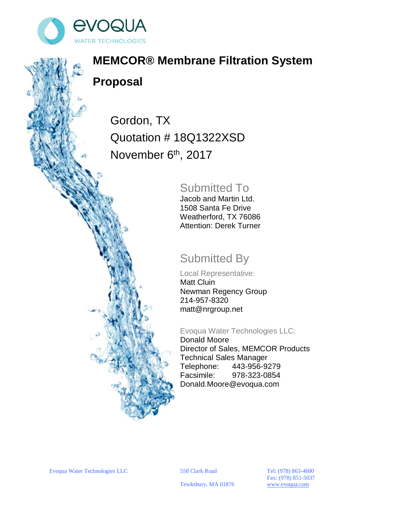

# **MEMCOR® Membrane Filtration System Proposal**

Gordon, TX Quotation # 18Q1322XSD November 6<sup>th</sup>, 2017

## Submitted To

Jacob and Martin Ltd. 1508 Santa Fe Drive Weatherford, TX 76086 Attention: Derek Turner

## Submitted By

Local Representative: Matt Cluin Newman Regency Group 214-957-8320 matt@nrgroup.net

Evoqua Water Technologies LLC:

Donald Moore Director of Sales, MEMCOR Products Technical Sales Manager Telephone: 443-956-9279 Facsimile: 978-323-0854 Donald.Moore@evoqua.com

Fax: (978) 851-5037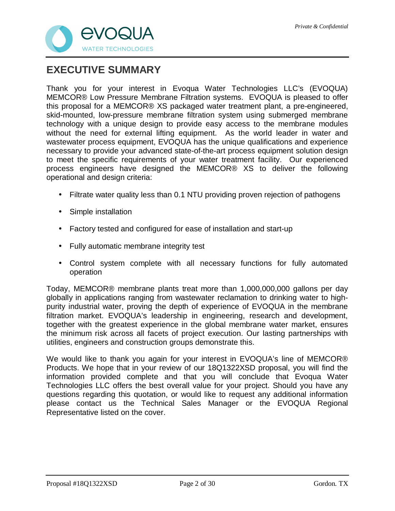

## **EXECUTIVE SUMMARY**

Thank you for your interest in Evoqua Water Technologies LLC's (EVOQUA) MEMCOR® Low Pressure Membrane Filtration systems. EVOQUA is pleased to offer this proposal for a MEMCOR® XS packaged water treatment plant, a pre-engineered, skid-mounted, low-pressure membrane filtration system using submerged membrane technology with a unique design to provide easy access to the membrane modules without the need for external lifting equipment. As the world leader in water and wastewater process equipment, EVOQUA has the unique qualifications and experience necessary to provide your advanced state-of-the-art process equipment solution design to meet the specific requirements of your water treatment facility. Our experienced process engineers have designed the MEMCOR® XS to deliver the following operational and design criteria:

- Filtrate water quality less than 0.1 NTU providing proven rejection of pathogens
- Simple installation
- Factory tested and configured for ease of installation and start-up
- Fully automatic membrane integrity test
- Control system complete with all necessary functions for fully automated operation

Today, MEMCOR® membrane plants treat more than 1,000,000,000 gallons per day globally in applications ranging from wastewater reclamation to drinking water to highpurity industrial water, proving the depth of experience of EVOQUA in the membrane filtration market. EVOQUA's leadership in engineering, research and development, together with the greatest experience in the global membrane water market, ensures the minimum risk across all facets of project execution. Our lasting partnerships with utilities, engineers and construction groups demonstrate this.

We would like to thank you again for your interest in EVOQUA's line of MEMCOR® Products. We hope that in your review of our 18Q1322XSD proposal, you will find the information provided complete and that you will conclude that Evoqua Water Technologies LLC offers the best overall value for your project. Should you have any questions regarding this quotation, or would like to request any additional information please contact us the Technical Sales Manager or the EVOQUA Regional Representative listed on the cover.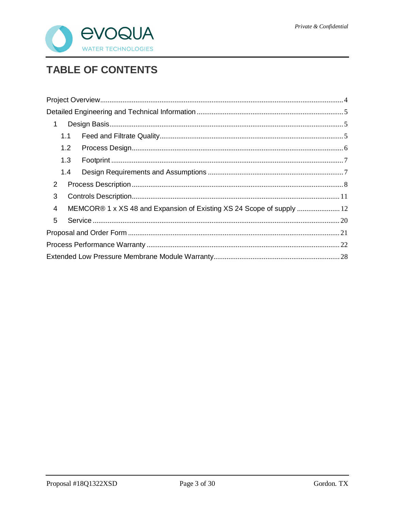

## **TABLE OF CONTENTS**

| 1              |     |                                                                       |  |  |  |  |
|----------------|-----|-----------------------------------------------------------------------|--|--|--|--|
|                | 1.1 |                                                                       |  |  |  |  |
|                | 1.2 |                                                                       |  |  |  |  |
|                | 1.3 |                                                                       |  |  |  |  |
|                | 1.4 |                                                                       |  |  |  |  |
| 2              |     |                                                                       |  |  |  |  |
| 3              |     |                                                                       |  |  |  |  |
| $\overline{4}$ |     | MEMCOR® 1 x XS 48 and Expansion of Existing XS 24 Scope of supply  12 |  |  |  |  |
| 5              |     |                                                                       |  |  |  |  |
|                |     |                                                                       |  |  |  |  |
|                |     |                                                                       |  |  |  |  |
|                |     |                                                                       |  |  |  |  |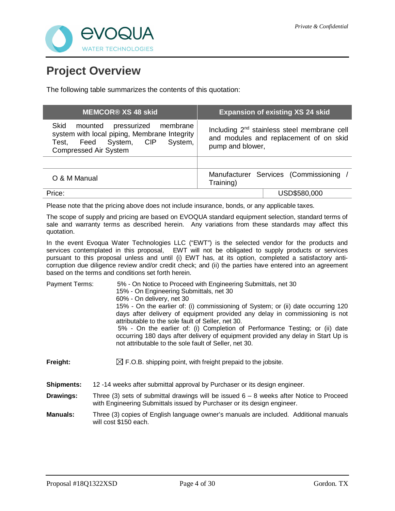

## **Project Overview**

The following table summarizes the contents of this quotation:

|                       | <b>MEMCOR® XS 48 skid</b>                                                                                                                                   | <b>Expansion of existing XS 24 skid</b>                                                                                                                                                                                                                                                                                                                                                                                 |  |  |
|-----------------------|-------------------------------------------------------------------------------------------------------------------------------------------------------------|-------------------------------------------------------------------------------------------------------------------------------------------------------------------------------------------------------------------------------------------------------------------------------------------------------------------------------------------------------------------------------------------------------------------------|--|--|
| <b>Skid</b><br>Test,  | mounted pressurized<br>membrane<br>system with local piping, Membrane Integrity<br>Feed<br><b>CIP</b><br>System,<br>System,<br><b>Compressed Air System</b> | Including 2 <sup>nd</sup> stainless steel membrane cell<br>and modules and replacement of on skid<br>pump and blower,                                                                                                                                                                                                                                                                                                   |  |  |
|                       |                                                                                                                                                             |                                                                                                                                                                                                                                                                                                                                                                                                                         |  |  |
| O & M Manual          |                                                                                                                                                             | Manufacturer Services (Commissioning /<br>Training)                                                                                                                                                                                                                                                                                                                                                                     |  |  |
| Price:                |                                                                                                                                                             | USD\$580,000                                                                                                                                                                                                                                                                                                                                                                                                            |  |  |
|                       |                                                                                                                                                             | Please note that the pricing above does not include insurance, bonds, or any applicable taxes.                                                                                                                                                                                                                                                                                                                          |  |  |
| quotation.            |                                                                                                                                                             | The scope of supply and pricing are based on EVOQUA standard equipment selection, standard terms of<br>sale and warranty terms as described herein. Any variations from these standards may affect this                                                                                                                                                                                                                 |  |  |
|                       | based on the terms and conditions set forth herein.                                                                                                         | In the event Evoqua Water Technologies LLC ("EWT") is the selected vendor for the products and<br>services contemplated in this proposal, EWT will not be obligated to supply products or services<br>pursuant to this proposal unless and until (i) EWT has, at its option, completed a satisfactory anti-<br>corruption due diligence review and/or credit check; and (ii) the parties have entered into an agreement |  |  |
| <b>Payment Terms:</b> | 15% - On Engineering Submittals, net 30<br>60% - On delivery, net 30                                                                                        | 5% - On Notice to Proceed with Engineering Submittals, net 30                                                                                                                                                                                                                                                                                                                                                           |  |  |
|                       | attributable to the sole fault of Seller, net 30.                                                                                                           | 15% - On the earlier of: (i) commissioning of System; or (ii) date occurring 120<br>days after delivery of equipment provided any delay in commissioning is not                                                                                                                                                                                                                                                         |  |  |
|                       |                                                                                                                                                             | 5% - On the earlier of: (i) Completion of Performance Testing; or (ii) date<br>occurring 180 days after delivery of equipment provided any delay in Start Up is<br>not attributable to the sole fault of Seller, net 30.                                                                                                                                                                                                |  |  |
| Freight:              |                                                                                                                                                             | $\boxtimes$ F.O.B. shipping point, with freight prepaid to the jobsite.                                                                                                                                                                                                                                                                                                                                                 |  |  |
| <b>Shipments:</b>     |                                                                                                                                                             | 12-14 weeks after submittal approval by Purchaser or its design engineer.                                                                                                                                                                                                                                                                                                                                               |  |  |
| Drawings:             |                                                                                                                                                             | Three (3) sets of submittal drawings will be issued $6 - 8$ weeks after Notice to Proceed<br>with Engineering Submittals issued by Purchaser or its design engineer.                                                                                                                                                                                                                                                    |  |  |

**Manuals:** Three (3) copies of English language owner's manuals are included. Additional manuals will cost \$150 each.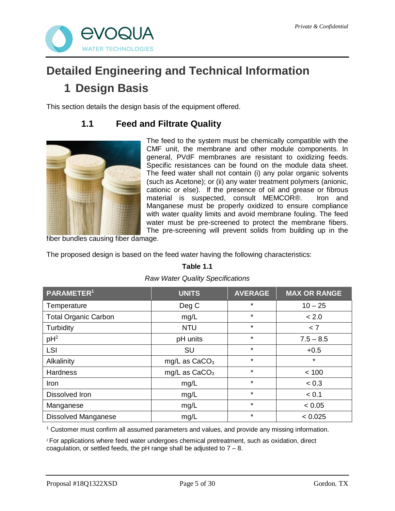

# **Detailed Engineering and Technical Information 1 Design Basis**

This section details the design basis of the equipment offered.

## **1.1 Feed and Filtrate Quality**



The feed to the system must be chemically compatible with the CMF unit, the membrane and other module components. In general, PVdF membranes are resistant to oxidizing feeds. Specific resistances can be found on the module data sheet. The feed water shall not contain (i) any polar organic solvents (such as Acetone); or (ii) any water treatment polymers (anionic, cationic or else). If the presence of oil and grease or fibrous material is suspected, consult MEMCOR®. Iron and Manganese must be properly oxidized to ensure compliance with water quality limits and avoid membrane fouling. The feed water must be pre-screened to protect the membrane fibers. The pre-screening will prevent solids from building up in the

fiber bundles causing fiber damage.

The proposed design is based on the feed water having the following characteristics:

#### **Table 1.1**

#### *Raw Water Quality Specifications*

| PARAMETER <sup>1</sup>      | <b>UNITS</b>    | <b>AVERAGE</b> | <b>MAX OR RANGE</b> |
|-----------------------------|-----------------|----------------|---------------------|
| Temperature                 | Deg C           | $\star$        | $10 - 25$           |
| <b>Total Organic Carbon</b> | mg/L            | $\star$        | < 2.0               |
| Turbidity                   | <b>NTU</b>      | $\star$        | < 7                 |
| $pH^2$                      | pH units        | $\star$        | $7.5 - 8.5$         |
| LSI                         | SU              | $\star$        | $+0.5$              |
| Alkalinity                  | mg/L as $CaCO3$ | $\star$        | $\star$             |
| <b>Hardness</b>             | mg/L as $CaCO3$ | $\star$        | < 100               |
| Iron                        | mg/L            | $\star$        | < 0.3               |
| Dissolved Iron              | mg/L            | $\star$        | < 0.1               |
| Manganese                   | mg/L            | $\star$        | < 0.05              |
| <b>Dissolved Manganese</b>  | mg/L            | $\star$        | < 0.025             |

<sup>1</sup> Customer must confirm all assumed parameters and values, and provide any missing information.

<sup>2</sup>For applications where feed water undergoes chemical pretreatment, such as oxidation, direct coagulation, or settled feeds, the pH range shall be adjusted to  $7 - 8$ .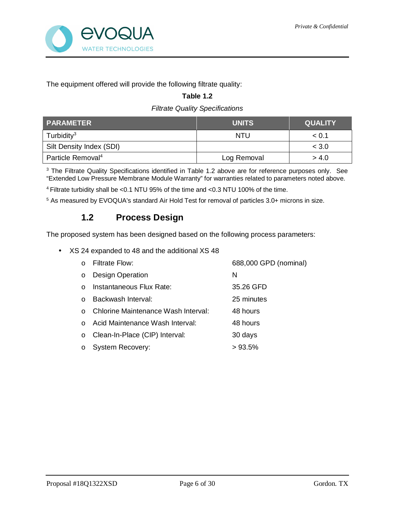

The equipment offered will provide the following filtrate quality:

#### **Table 1.2**

#### *Filtrate Quality Specifications*

| <b>PARAMETER</b>              | <b>UNITS</b> | <b>QUALITY</b> |
|-------------------------------|--------------|----------------|
| Turbidity <sup>3</sup>        | NTU          | < 0.1          |
| Silt Density Index (SDI)      |              | < 3.0          |
| Particle Removal <sup>4</sup> | Log Removal  | > 4.0          |

<sup>3</sup> The Filtrate Quality Specifications identified in Table 1.2 above are for reference purposes only. See "Extended Low Pressure Membrane Module Warranty" for warranties related to parameters noted above.

<sup>4</sup> Filtrate turbidity shall be <0.1 NTU 95% of the time and <0.3 NTU 100% of the time.

<sup>5</sup> As measured by EVOQUA's standard Air Hold Test for removal of particles 3.0+ microns in size.

### **1.2 Process Design**

The proposed system has been designed based on the following process parameters:

XS 24 expanded to 48 and the additional XS 48

|          | Filtrate Flow:                      | 688,000 GPD (nominal) |
|----------|-------------------------------------|-----------------------|
| $\circ$  | <b>Design Operation</b>             | N                     |
| $\Omega$ | Instantaneous Flux Rate:            | 35.26 GFD             |
|          | Backwash Interval:                  | 25 minutes            |
|          | Chlorine Maintenance Wash Interval: | 48 hours              |
|          | Acid Maintenance Wash Interval:     | 48 hours              |
| $\circ$  | Clean-In-Place (CIP) Interval:      | 30 days               |
| $\circ$  | <b>System Recovery:</b>             | >93.5%                |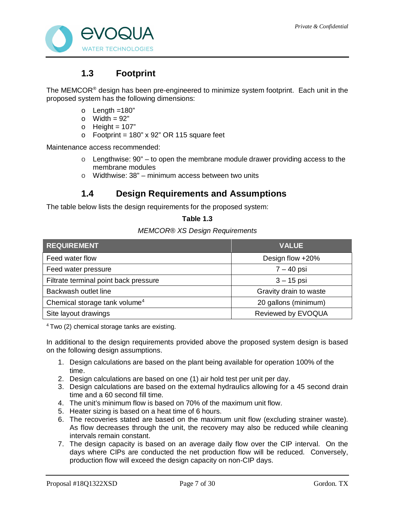

### **1.3 Footprint**

The MEMCOR® design has been pre-engineered to minimize system footprint. Each unit in the proposed system has the following dimensions:

- $o$  Length =180"
- $\circ$  Width = 92"
- $\circ$  Height = 107"
- $\circ$  Footprint = 180" x 92" OR 115 square feet

Maintenance access recommended:

- $\circ$  Lengthwise: 90" to open the membrane module drawer providing access to the membrane modules
- $\circ$  Widthwise: 38" minimum access between two units

### **1.4 Design Requirements and Assumptions**

The table below lists the design requirements for the proposed system:

#### **Table 1.3**

#### *MEMCOR® XS Design Requirements*

| <b>REQUIREMENT</b>                        | <b>VALUE</b>           |
|-------------------------------------------|------------------------|
| Feed water flow                           | Design flow +20%       |
| Feed water pressure                       | $7 - 40$ psi           |
| Filtrate terminal point back pressure     | $3 - 15$ psi           |
| Backwash outlet line                      | Gravity drain to waste |
| Chemical storage tank volume <sup>4</sup> | 20 gallons (minimum)   |
| Site layout drawings                      | Reviewed by EVOQUA     |

<sup>4</sup> Two (2) chemical storage tanks are existing.

In additional to the design requirements provided above the proposed system design is based on the following design assumptions.

- 1. Design calculations are based on the plant being available for operation 100% of the time.
- 2. Design calculations are based on one (1) air hold test per unit per day.
- 3. Design calculations are based on the external hydraulics allowing for a 45 second drain time and a 60 second fill time.
- 4. The unit's minimum flow is based on 70% of the maximum unit flow.
- 5. Heater sizing is based on a heat time of 6 hours.
- 6. The recoveries stated are based on the maximum unit flow (excluding strainer waste). As flow decreases through the unit, the recovery may also be reduced while cleaning intervals remain constant.
- 7. The design capacity is based on an average daily flow over the CIP interval. On the days where CIPs are conducted the net production flow will be reduced. Conversely, production flow will exceed the design capacity on non-CIP days.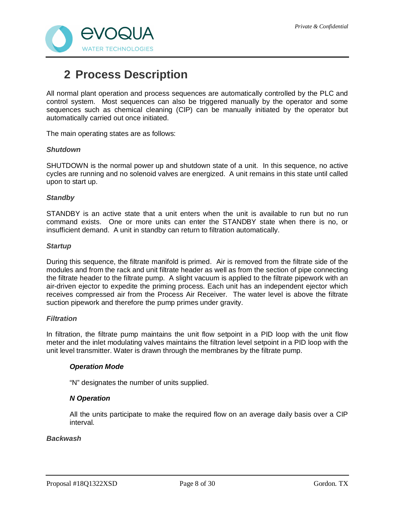

## **2 Process Description**

All normal plant operation and process sequences are automatically controlled by the PLC and control system. Most sequences can also be triggered manually by the operator and some sequences such as chemical cleaning (CIP) can be manually initiated by the operator but automatically carried out once initiated.

The main operating states are as follows:

#### *Shutdown*

SHUTDOWN is the normal power up and shutdown state of a unit. In this sequence, no active cycles are running and no solenoid valves are energized. A unit remains in this state until called upon to start up.

#### *Standby*

STANDBY is an active state that a unit enters when the unit is available to run but no run command exists. One or more units can enter the STANDBY state when there is no, or insufficient demand. A unit in standby can return to filtration automatically.

#### *Startup*

During this sequence, the filtrate manifold is primed. Air is removed from the filtrate side of the modules and from the rack and unit filtrate header as well as from the section of pipe connecting the filtrate header to the filtrate pump. A slight vacuum is applied to the filtrate pipework with an air-driven ejector to expedite the priming process. Each unit has an independent ejector which receives compressed air from the Process Air Receiver. The water level is above the filtrate suction pipework and therefore the pump primes under gravity.

#### *Filtration*

In filtration, the filtrate pump maintains the unit flow setpoint in a PID loop with the unit flow meter and the inlet modulating valves maintains the filtration level setpoint in a PID loop with the unit level transmitter. Water is drawn through the membranes by the filtrate pump.

#### *Operation Mode*

"N" designates the number of units supplied.

#### *N Operation*

All the units participate to make the required flow on an average daily basis over a CIP interval.

#### *Backwash*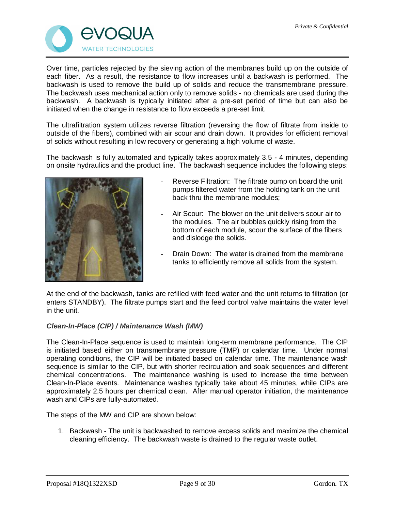

Over time, particles rejected by the sieving action of the membranes build up on the outside of each fiber. As a result, the resistance to flow increases until a backwash is performed. The backwash is used to remove the build up of solids and reduce the transmembrane pressure. The backwash uses mechanical action only to remove solids - no chemicals are used during the backwash. A backwash is typically initiated after a pre-set period of time but can also be initiated when the change in resistance to flow exceeds a pre-set limit.

The ultrafiltration system utilizes reverse filtration (reversing the flow of filtrate from inside to outside of the fibers), combined with air scour and drain down. It provides for efficient removal of solids without resulting in low recovery or generating a high volume of waste.

The backwash is fully automated and typically takes approximately 3.5 - 4 minutes, depending on onsite hydraulics and the product line. The backwash sequence includes the following steps:



- Reverse Filtration: The filtrate pump on board the unit pumps filtered water from the holding tank on the unit back thru the membrane modules;
- Air Scour: The blower on the unit delivers scour air to the modules. The air bubbles quickly rising from the bottom of each module, scour the surface of the fibers and dislodge the solids.
- Drain Down: The water is drained from the membrane tanks to efficiently remove all solids from the system.

At the end of the backwash, tanks are refilled with feed water and the unit returns to filtration (or enters STANDBY). The filtrate pumps start and the feed control valve maintains the water level in the unit.

#### *Clean-In-Place (CIP) / Maintenance Wash (MW)*

The Clean-In-Place sequence is used to maintain long-term membrane performance. The CIP is initiated based either on transmembrane pressure (TMP) or calendar time. Under normal operating conditions, the CIP will be initiated based on calendar time. The maintenance wash sequence is similar to the CIP, but with shorter recirculation and soak sequences and different chemical concentrations. The maintenance washing is used to increase the time between Clean-In-Place events. Maintenance washes typically take about 45 minutes, while CIPs are approximately 2.5 hours per chemical clean. After manual operator initiation, the maintenance wash and CIPs are fully-automated.

The steps of the MW and CIP are shown below:

1. Backwash - The unit is backwashed to remove excess solids and maximize the chemical cleaning efficiency. The backwash waste is drained to the regular waste outlet.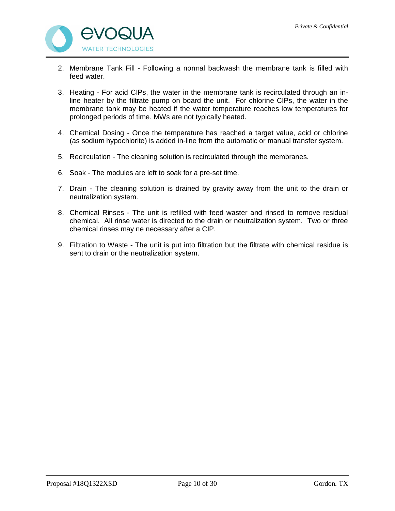

- 2. Membrane Tank Fill Following a normal backwash the membrane tank is filled with feed water.
- 3. Heating For acid CIPs, the water in the membrane tank is recirculated through an inline heater by the filtrate pump on board the unit. For chlorine CIPs, the water in the membrane tank may be heated if the water temperature reaches low temperatures for prolonged periods of time. MWs are not typically heated.
- 4. Chemical Dosing Once the temperature has reached a target value, acid or chlorine (as sodium hypochlorite) is added in-line from the automatic or manual transfer system.
- 5. Recirculation The cleaning solution is recirculated through the membranes.
- 6. Soak The modules are left to soak for a pre-set time.
- 7. Drain The cleaning solution is drained by gravity away from the unit to the drain or neutralization system.
- 8. Chemical Rinses The unit is refilled with feed waster and rinsed to remove residual chemical. All rinse water is directed to the drain or neutralization system. Two or three chemical rinses may ne necessary after a CIP.
- 9. Filtration to Waste The unit is put into filtration but the filtrate with chemical residue is sent to drain or the neutralization system.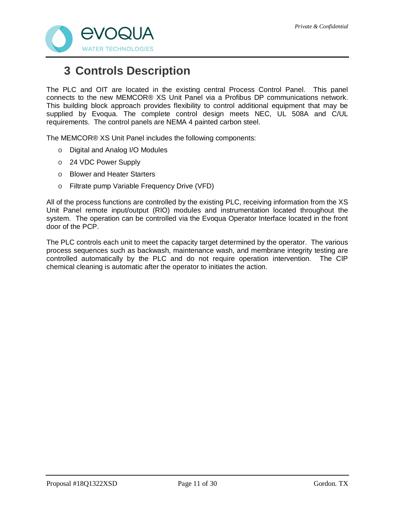

## **3 Controls Description**

The PLC and OIT are located in the existing central Process Control Panel. This panel connects to the new MEMCOR® XS Unit Panel via a Profibus DP communications network. This building block approach provides flexibility to control additional equipment that may be supplied by Evoqua. The complete control design meets NEC, UL 508A and C/UL requirements. The control panels are NEMA 4 painted carbon steel.

The MEMCOR® XS Unit Panel includes the following components:

- o Digital and Analog I/O Modules
- o 24 VDC Power Supply
- o Blower and Heater Starters
- o Filtrate pump Variable Frequency Drive (VFD)

All of the process functions are controlled by the existing PLC, receiving information from the XS Unit Panel remote input/output (RIO) modules and instrumentation located throughout the system. The operation can be controlled via the Evoqua Operator Interface located in the front door of the PCP.

The PLC controls each unit to meet the capacity target determined by the operator. The various process sequences such as backwash, maintenance wash, and membrane integrity testing are controlled automatically by the PLC and do not require operation intervention. The CIP chemical cleaning is automatic after the operator to initiates the action.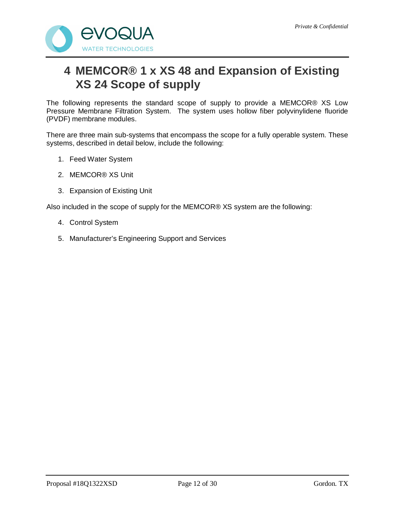

## **4 MEMCOR® 1 x XS 48 and Expansion of Existing XS 24 Scope of supply**

The following represents the standard scope of supply to provide a MEMCOR® XS Low Pressure Membrane Filtration System. The system uses hollow fiber polyvinylidene fluoride (PVDF) membrane modules.

There are three main sub-systems that encompass the scope for a fully operable system. These systems, described in detail below, include the following:

- 1. Feed Water System
- 2. MEMCOR® XS Unit
- 3. Expansion of Existing Unit

Also included in the scope of supply for the MEMCOR® XS system are the following:

- 4. Control System
- 5. Manufacturer's Engineering Support and Services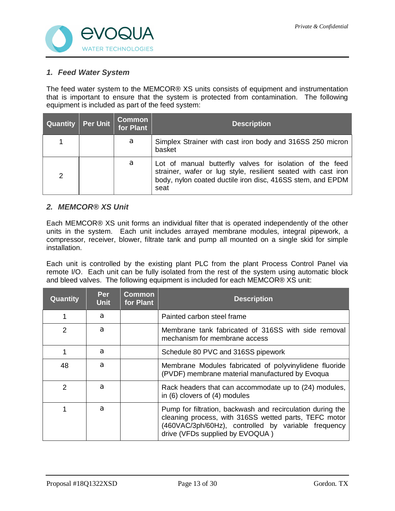

#### *1. Feed Water System*

The feed water system to the MEMCOR® XS units consists of equipment and instrumentation that is important to ensure that the system is protected from contamination. The following equipment is included as part of the feed system:

| <b>Quantity</b> | Per Unit | <b>Common</b><br>for Plant | <b>Description</b>                                                                                                                                                                              |
|-----------------|----------|----------------------------|-------------------------------------------------------------------------------------------------------------------------------------------------------------------------------------------------|
|                 |          | a                          | Simplex Strainer with cast iron body and 316SS 250 micron<br>basket                                                                                                                             |
| $\mathcal{P}$   |          | a                          | Lot of manual butterfly valves for isolation of the feed<br>strainer, wafer or lug style, resilient seated with cast iron<br>body, nylon coated ductile iron disc, 416SS stem, and EPDM<br>seat |

#### *2. MEMCOR® XS Unit*

Each MEMCOR® XS unit forms an individual filter that is operated independently of the other units in the system. Each unit includes arrayed membrane modules, integral pipework, a compressor, receiver, blower, filtrate tank and pump all mounted on a single skid for simple installation.

Each unit is controlled by the existing plant PLC from the plant Process Control Panel via remote I/O. Each unit can be fully isolated from the rest of the system using automatic block and bleed valves. The following equipment is included for each MEMCOR® XS unit:

| <b>Quantity</b> | <b>Per</b><br><b>Unit</b> | Common<br>for Plant | <b>Description</b>                                                                                                                                                                                            |
|-----------------|---------------------------|---------------------|---------------------------------------------------------------------------------------------------------------------------------------------------------------------------------------------------------------|
|                 | a                         |                     | Painted carbon steel frame                                                                                                                                                                                    |
| 2               | a                         |                     | Membrane tank fabricated of 316SS with side removal<br>mechanism for membrane access                                                                                                                          |
|                 | a                         |                     | Schedule 80 PVC and 316SS pipework                                                                                                                                                                            |
| 48              | a                         |                     | Membrane Modules fabricated of polyvinylidene fluoride<br>(PVDF) membrane material manufactured by Evoqua                                                                                                     |
| $\mathcal{P}$   | a                         |                     | Rack headers that can accommodate up to (24) modules,<br>in (6) clovers of (4) modules                                                                                                                        |
|                 | a                         |                     | Pump for filtration, backwash and recirculation during the<br>cleaning process, with 316SS wetted parts, TEFC motor<br>(460VAC/3ph/60Hz), controlled by variable frequency<br>drive (VFDs supplied by EVOQUA) |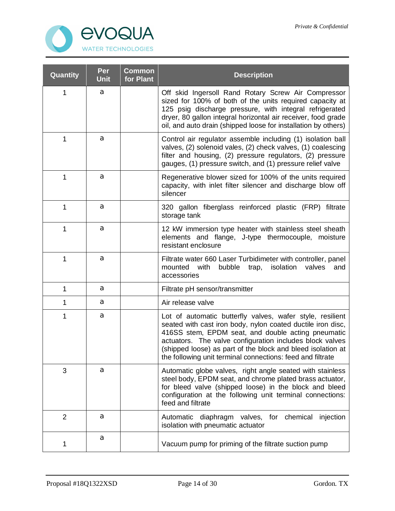

| Quantity       | Per<br><b>Unit</b> | <b>Common</b><br>for Plant | <b>Description</b>                                                                                                                                                                                                                                                                                                                                                      |
|----------------|--------------------|----------------------------|-------------------------------------------------------------------------------------------------------------------------------------------------------------------------------------------------------------------------------------------------------------------------------------------------------------------------------------------------------------------------|
| 1              | a                  |                            | Off skid Ingersoll Rand Rotary Screw Air Compressor<br>sized for 100% of both of the units required capacity at<br>125 psig discharge pressure, with integral refrigerated<br>dryer, 80 gallon integral horizontal air receiver, food grade<br>oil, and auto drain (shipped loose for installation by others)                                                           |
| 1              | a                  |                            | Control air regulator assemble including (1) isolation ball<br>valves, (2) solenoid vales, (2) check valves, (1) coalescing<br>filter and housing, (2) pressure regulators, (2) pressure<br>gauges, (1) pressure switch, and (1) pressure relief valve                                                                                                                  |
| 1              | a                  |                            | Regenerative blower sized for 100% of the units required<br>capacity, with inlet filter silencer and discharge blow off<br>silencer                                                                                                                                                                                                                                     |
| 1              | a                  |                            | 320 gallon fiberglass reinforced plastic (FRP) filtrate<br>storage tank                                                                                                                                                                                                                                                                                                 |
| 1              | а                  |                            | 12 kW immersion type heater with stainless steel sheath<br>elements and flange, J-type thermocouple, moisture<br>resistant enclosure                                                                                                                                                                                                                                    |
| 1              | a                  |                            | Filtrate water 660 Laser Turbidimeter with controller, panel<br>mounted<br>with<br>bubble<br>isolation<br>valves<br>trap,<br>and<br>accessories                                                                                                                                                                                                                         |
| 1              | a                  |                            | Filtrate pH sensor/transmitter                                                                                                                                                                                                                                                                                                                                          |
| 1              | а                  |                            | Air release valve                                                                                                                                                                                                                                                                                                                                                       |
| 1              | a                  |                            | Lot of automatic butterfly valves, wafer style, resilient<br>seated with cast iron body, nylon coated ductile iron disc,<br>416SS stem, EPDM seat, and double acting pneumatic<br>actuators. The valve configuration includes block valves<br>(shipped loose) as part of the block and bleed isolation at<br>the following unit terminal connections: feed and filtrate |
| 3              | a                  |                            | Automatic globe valves, right angle seated with stainless<br>steel body, EPDM seat, and chrome plated brass actuator,<br>for bleed valve (shipped loose) in the block and bleed<br>configuration at the following unit terminal connections:<br>feed and filtrate                                                                                                       |
| $\overline{2}$ | a                  |                            | Automatic diaphragm valves, for chemical<br>injection<br>isolation with pneumatic actuator                                                                                                                                                                                                                                                                              |
| 1              | а                  |                            | Vacuum pump for priming of the filtrate suction pump                                                                                                                                                                                                                                                                                                                    |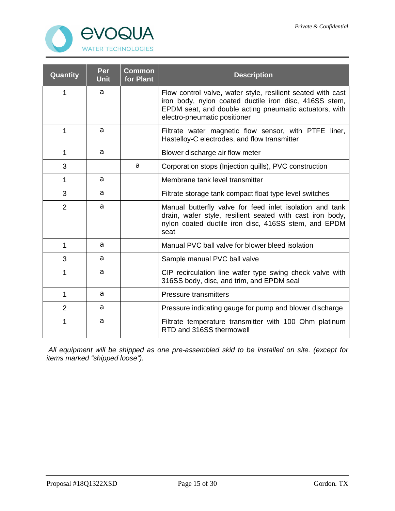

| Quantity       | Per<br><b>Unit</b> | <b>Common</b><br>for Plant | <b>Description</b>                                                                                                                                                                                              |
|----------------|--------------------|----------------------------|-----------------------------------------------------------------------------------------------------------------------------------------------------------------------------------------------------------------|
| 1              | a                  |                            | Flow control valve, wafer style, resilient seated with cast<br>iron body, nylon coated ductile iron disc, 416SS stem,<br>EPDM seat, and double acting pneumatic actuators, with<br>electro-pneumatic positioner |
| 1              | а                  |                            | Filtrate water magnetic flow sensor, with PTFE liner,<br>Hastelloy-C electrodes, and flow transmitter                                                                                                           |
| 1              | а                  |                            | Blower discharge air flow meter                                                                                                                                                                                 |
| 3              |                    | a                          | Corporation stops (Injection quills), PVC construction                                                                                                                                                          |
| 1              | а                  |                            | Membrane tank level transmitter                                                                                                                                                                                 |
| 3              | а                  |                            | Filtrate storage tank compact float type level switches                                                                                                                                                         |
| $\overline{2}$ | a                  |                            | Manual butterfly valve for feed inlet isolation and tank<br>drain, wafer style, resilient seated with cast iron body,<br>nylon coated ductile iron disc, 416SS stem, and EPDM<br>seat                           |
| 1              | a                  |                            | Manual PVC ball valve for blower bleed isolation                                                                                                                                                                |
| 3              | a                  |                            | Sample manual PVC ball valve                                                                                                                                                                                    |
| 1              | a                  |                            | CIP recirculation line wafer type swing check valve with<br>316SS body, disc, and trim, and EPDM seal                                                                                                           |
| 1              | a                  |                            | <b>Pressure transmitters</b>                                                                                                                                                                                    |
| $\overline{2}$ | a                  |                            | Pressure indicating gauge for pump and blower discharge                                                                                                                                                         |
| 1              | a                  |                            | Filtrate temperature transmitter with 100 Ohm platinum<br>RTD and 316SS thermowell                                                                                                                              |

 *All equipment will be shipped as one pre-assembled skid to be installed on site. (except for items marked "shipped loose").*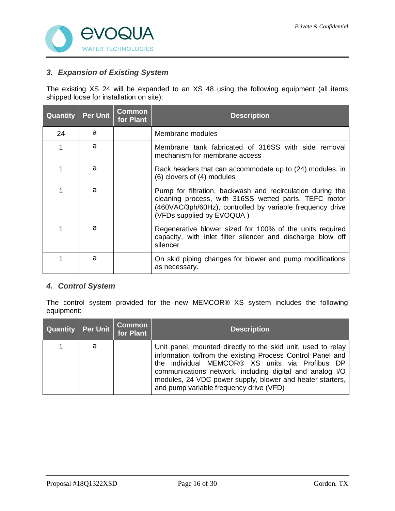

### *3. Expansion of Existing System*

The existing XS 24 will be expanded to an XS 48 using the following equipment (all items shipped loose for installation on site):

| Quantity | <b>Per Unit</b> | <b>Common</b><br>for Plant | <b>Description</b>                                                                                                                                                                                            |
|----------|-----------------|----------------------------|---------------------------------------------------------------------------------------------------------------------------------------------------------------------------------------------------------------|
| 24       | a               |                            | Membrane modules                                                                                                                                                                                              |
|          | a               |                            | Membrane tank fabricated of 316SS with side removal<br>mechanism for membrane access                                                                                                                          |
|          | а               |                            | Rack headers that can accommodate up to (24) modules, in<br>(6) clovers of (4) modules                                                                                                                        |
|          | a               |                            | Pump for filtration, backwash and recirculation during the<br>cleaning process, with 316SS wetted parts, TEFC motor<br>(460VAC/3ph/60Hz), controlled by variable frequency drive<br>(VFDs supplied by EVOQUA) |
|          | a               |                            | Regenerative blower sized for 100% of the units required<br>capacity, with inlet filter silencer and discharge blow off<br>silencer                                                                           |
|          | a               |                            | On skid piping changes for blower and pump modifications<br>as necessary.                                                                                                                                     |

### *4. Control System*

The control system provided for the new MEMCOR® XS system includes the following equipment:

| Quantity   Per Unit |   | <b>Common</b><br>for Plant | <b>Description</b>                                                                                                                                                                                                                                                                                                                                |
|---------------------|---|----------------------------|---------------------------------------------------------------------------------------------------------------------------------------------------------------------------------------------------------------------------------------------------------------------------------------------------------------------------------------------------|
|                     | a |                            | Unit panel, mounted directly to the skid unit, used to relay<br>information to/from the existing Process Control Panel and<br>the individual MEMCOR® XS units via Profibus DP<br>communications network, including digital and analog I/O<br>modules, 24 VDC power supply, blower and heater starters,<br>and pump variable frequency drive (VFD) |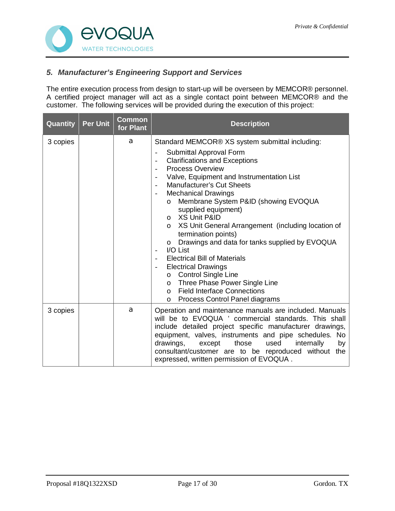

### *5. Manufacturer's Engineering Support and Services*

The entire execution process from design to start-up will be overseen by MEMCOR® personnel. A certified project manager will act as a single contact point between MEMCOR® and the customer. The following services will be provided during the execution of this project:

| Quantity | <b>Per Unit</b> | <b>Common</b><br>for Plant | <b>Description</b>                                                                                                                                                                                                                                                                                                                                                                                                                                                                                                                                                                                                                                                                                                                                                                                                                                                                                                                                                                                           |  |
|----------|-----------------|----------------------------|--------------------------------------------------------------------------------------------------------------------------------------------------------------------------------------------------------------------------------------------------------------------------------------------------------------------------------------------------------------------------------------------------------------------------------------------------------------------------------------------------------------------------------------------------------------------------------------------------------------------------------------------------------------------------------------------------------------------------------------------------------------------------------------------------------------------------------------------------------------------------------------------------------------------------------------------------------------------------------------------------------------|--|
| 3 copies |                 | a                          | Standard MEMCOR® XS system submittal including:<br>Submittal Approval Form<br>$\qquad \qquad \blacksquare$<br><b>Clarifications and Exceptions</b><br>$\overline{\phantom{a}}$<br><b>Process Overview</b><br>$\blacksquare$<br>Valve, Equipment and Instrumentation List<br>$\overline{\phantom{a}}$<br><b>Manufacturer's Cut Sheets</b><br>$\overline{\phantom{a}}$<br><b>Mechanical Drawings</b><br>$\overline{\phantom{a}}$<br>Membrane System P&ID (showing EVOQUA<br>$\circ$<br>supplied equipment)<br>o XS Unit P&ID<br>XS Unit General Arrangement (including location of<br>$\circ$<br>termination points)<br>Drawings and data for tanks supplied by EVOQUA<br>$\circ$<br>I/O List<br>$\overline{\phantom{a}}$<br><b>Electrical Bill of Materials</b><br><b>Electrical Drawings</b><br>$\overline{\phantom{a}}$<br><b>Control Single Line</b><br>$\circ$<br>Three Phase Power Single Line<br>$\circ$<br><b>Field Interface Connections</b><br>$\Omega$<br>Process Control Panel diagrams<br>$\circ$ |  |
| 3 copies |                 | a                          | Operation and maintenance manuals are included. Manuals<br>will be to EVOQUA ' commercial standards. This shall<br>include detailed project specific manufacturer drawings,<br>equipment, valves, instruments and pipe schedules. No<br>drawings,<br>those<br>used<br>internally<br>except<br>by<br>consultant/customer are to be reproduced without<br>the<br>expressed, written permission of EVOQUA.                                                                                                                                                                                                                                                                                                                                                                                                                                                                                                                                                                                                      |  |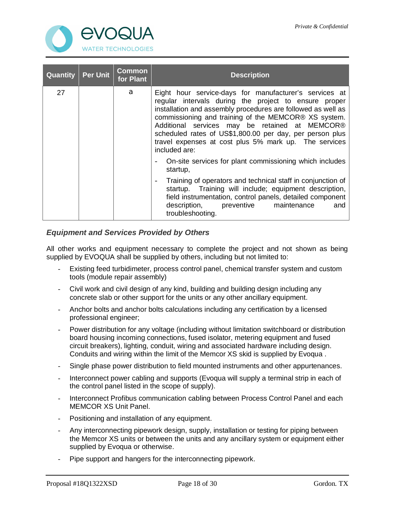

| Quantity | <b>Per Unit</b> | <b>Common</b><br>for Plant | <b>Description</b>                                                                                                                                                                                                                                                                                                                                                                                                              |  |  |
|----------|-----------------|----------------------------|---------------------------------------------------------------------------------------------------------------------------------------------------------------------------------------------------------------------------------------------------------------------------------------------------------------------------------------------------------------------------------------------------------------------------------|--|--|
| 27       |                 | a                          | Eight hour service-days for manufacturer's services at<br>regular intervals during the project to ensure proper<br>installation and assembly procedures are followed as well as<br>commissioning and training of the MEMCOR® XS system.<br>Additional services may be retained at MEMCOR®<br>scheduled rates of US\$1,800.00 per day, per person plus<br>travel expenses at cost plus 5% mark up. The services<br>included are: |  |  |
|          |                 |                            | On-site services for plant commissioning which includes<br>startup,                                                                                                                                                                                                                                                                                                                                                             |  |  |
|          |                 |                            | Training of operators and technical staff in conjunction of<br>$\overline{\phantom{a}}$<br>startup. Training will include; equipment description,<br>field instrumentation, control panels, detailed component<br>description, preventive maintenance<br>and<br>troubleshooting.                                                                                                                                                |  |  |

### *Equipment and Services Provided by Others*

All other works and equipment necessary to complete the project and not shown as being supplied by EVOQUA shall be supplied by others, including but not limited to:

- Existing feed turbidimeter, process control panel, chemical transfer system and custom tools (module repair assembly)
- Civil work and civil design of any kind, building and building design including any concrete slab or other support for the units or any other ancillary equipment.
- Anchor bolts and anchor bolts calculations including any certification by a licensed professional engineer;
- Power distribution for any voltage (including without limitation switchboard or distribution board housing incoming connections, fused isolator, metering equipment and fused circuit breakers), lighting, conduit, wiring and associated hardware including design. Conduits and wiring within the limit of the Memcor XS skid is supplied by Evoqua .
- Single phase power distribution to field mounted instruments and other appurtenances.
- Interconnect power cabling and supports (Evoqua will supply a terminal strip in each of the control panel listed in the scope of supply).
- Interconnect Profibus communication cabling between Process Control Panel and each MEMCOR XS Unit Panel.
- Positioning and installation of any equipment.
- Any interconnecting pipework design, supply, installation or testing for piping between the Memcor XS units or between the units and any ancillary system or equipment either supplied by Evoqua or otherwise.
- Pipe support and hangers for the interconnecting pipework.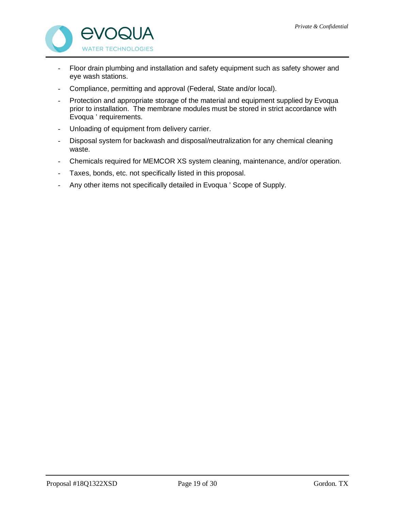

- Floor drain plumbing and installation and safety equipment such as safety shower and eye wash stations.
- Compliance, permitting and approval (Federal, State and/or local).
- Protection and appropriate storage of the material and equipment supplied by Evoqua prior to installation. The membrane modules must be stored in strict accordance with Evoqua ' requirements.
- Unloading of equipment from delivery carrier.
- Disposal system for backwash and disposal/neutralization for any chemical cleaning waste.
- Chemicals required for MEMCOR XS system cleaning, maintenance, and/or operation.
- Taxes, bonds, etc. not specifically listed in this proposal.
- Any other items not specifically detailed in Evoqua ' Scope of Supply.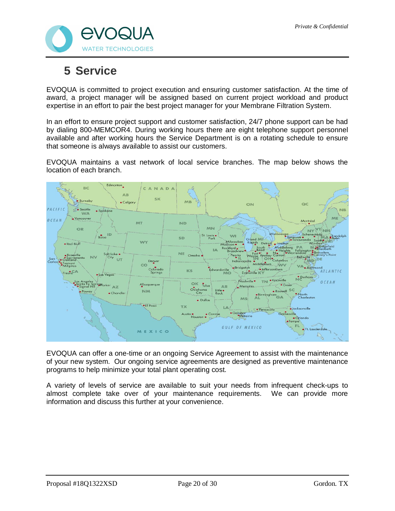

## **5 Service**

EVOQUA is committed to project execution and ensuring customer satisfaction. At the time of award, a project manager will be assigned based on current project workload and product expertise in an effort to pair the best project manager for your Membrane Filtration System.

In an effort to ensure project support and customer satisfaction, 24/7 phone support can be had by dialing 800-MEMCOR4. During working hours there are eight telephone support personnel available and after working hours the Service Department is on a rotating schedule to ensure that someone is always available to assist our customers.

EVOQUA maintains a vast network of local service branches. The map below shows the location of each branch.



EVOQUA can offer a one-time or an ongoing Service Agreement to assist with the maintenance of your new system. Our ongoing service agreements are designed as preventive maintenance programs to help minimize your total plant operating cost.

A variety of levels of service are available to suit your needs from infrequent check-ups to almost complete take over of your maintenance requirements. We can provide more information and discuss this further at your convenience.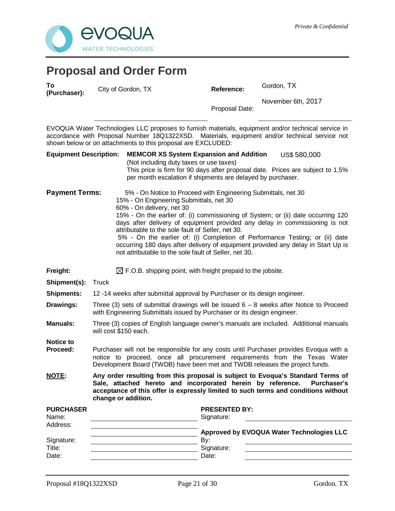

## **Proposal and Order Form**

**To (Purchaser):** City of Gordon, TX **Reference:** Gordon, TX

Proposal Date: November 6th, 2017

EVOQUA Water Technologies LLC proposes to furnish materials, equipment and/or technical service in accordance with Proposal Number 18Q1322XSD. Materials, equipment and/or technical service not shown below or on attachments to this proposal are EXCLUDED:

| <b>Equipment Description:</b> | <b>MEMCOR XS System Expansion and Addition</b><br>US\$ 580,000                                                                                                                                                                                                                    |  |  |  |  |  |
|-------------------------------|-----------------------------------------------------------------------------------------------------------------------------------------------------------------------------------------------------------------------------------------------------------------------------------|--|--|--|--|--|
|                               | (Not including duty taxes or use taxes)                                                                                                                                                                                                                                           |  |  |  |  |  |
|                               | This price is firm for 90 days after proposal date. Prices are subject to 1.5%<br>per month escalation if shipments are delayed by purchaser.                                                                                                                                     |  |  |  |  |  |
| <b>Payment Terms:</b>         | 5% - On Notice to Proceed with Engineering Submittals, net 30<br>15% - On Engineering Submittals, net 30<br>60% - On delivery, net 30                                                                                                                                             |  |  |  |  |  |
|                               | 15% - On the earlier of: (i) commissioning of System; or (ii) date occurring 120<br>days after delivery of equipment provided any delay in commissioning is not<br>attributable to the sole fault of Seller, net 30.                                                              |  |  |  |  |  |
|                               | 5% - On the earlier of: (i) Completion of Performance Testing; or (ii) date<br>occurring 180 days after delivery of equipment provided any delay in Start Up is<br>not attributable to the sole fault of Seller, net 30.                                                          |  |  |  |  |  |
| Freight:                      | $\boxtimes$ F.O.B. shipping point, with freight prepaid to the jobsite.                                                                                                                                                                                                           |  |  |  |  |  |
| Shipment(s):                  | <b>Truck</b>                                                                                                                                                                                                                                                                      |  |  |  |  |  |
| <b>Shipments:</b>             | 12-14 weeks after submittal approval by Purchaser or its design engineer.                                                                                                                                                                                                         |  |  |  |  |  |
| Drawings:                     | Three (3) sets of submittal drawings will be issued $6 - 8$ weeks after Notice to Proceed<br>with Engineering Submittals issued by Purchaser or its design engineer.                                                                                                              |  |  |  |  |  |
| <b>Manuals:</b>               | Three (3) copies of English language owner's manuals are included. Additional manuals<br>will cost \$150 each.                                                                                                                                                                    |  |  |  |  |  |
| <b>Notice to</b>              |                                                                                                                                                                                                                                                                                   |  |  |  |  |  |
| Proceed:                      | Purchaser will not be responsible for any costs until Purchaser provides Evoqua with a<br>notice to proceed, once all procurement requirements from the Texas Water<br>Development Board (TWDB) have been met and TWDB releases the project funds.                                |  |  |  |  |  |
| <b>NOTE:</b>                  | Any order resulting from this proposal is subject to Evoqua's Standard Terms of<br>Sale, attached hereto and incorporated herein by reference.<br><b>Purchaser's</b><br>acceptance of this offer is expressly limited to such terms and conditions without<br>change or addition. |  |  |  |  |  |
| <b>PURCHASER</b><br>Name:     | <b>PRESENTED BY:</b><br>Signature:                                                                                                                                                                                                                                                |  |  |  |  |  |
| Address:                      | Approved by EVOQUA Water Technologies LLC                                                                                                                                                                                                                                         |  |  |  |  |  |
| Signature:                    | By:                                                                                                                                                                                                                                                                               |  |  |  |  |  |
| Title:                        | Signature:                                                                                                                                                                                                                                                                        |  |  |  |  |  |
| Date:                         | Date:                                                                                                                                                                                                                                                                             |  |  |  |  |  |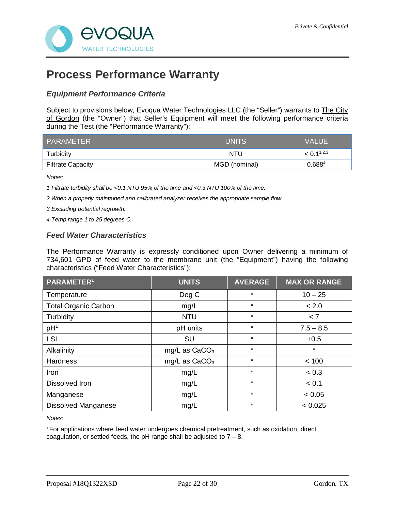

## **Process Performance Warranty**

### *Equipment Performance Criteria*

Subject to provisions below, Evoqua Water Technologies LLC (the "Seller") warrants to The City of Gordon (the "Owner") that Seller's Equipment will meet the following performance criteria during the Test (the "Performance Warranty"):

| PARAMETER                | <b>UNITS</b>  | <b>VALUE</b>       |
|--------------------------|---------------|--------------------|
| Turbidity                | NTU           | $< 0.1^{1,2,3}$    |
| <b>Filtrate Capacity</b> | MGD (nominal) | 0.688 <sup>4</sup> |

*Notes:*

*1 Filtrate turbidity shall be <0.1 NTU 95% of the time and <0.3 NTU 100% of the time.*

*2 When a properly maintained and calibrated analyzer receives the appropriate sample flow.*

*3 Excluding potential regrowth.*

*4 Temp range 1 to 25 degrees C.*

#### *Feed Water Characteristics*

The Performance Warranty is expressly conditioned upon Owner delivering a minimum of 734,601 GPD of feed water to the membrane unit (the "Equipment") having the following characteristics ("Feed Water Characteristics"):

| PARAMETER <sup>1</sup>      | <b>UNITS</b>    | <b>AVERAGE</b> | <b>MAX OR RANGE</b> |
|-----------------------------|-----------------|----------------|---------------------|
| Temperature                 | Deg C           | $\star$        | $10 - 25$           |
| <b>Total Organic Carbon</b> | mg/L            | $\star$        | < 2.0               |
| Turbidity                   | <b>NTU</b>      | $\star$        | < 7                 |
| pH <sup>1</sup>             | pH units        | $\star$        | $7.5 - 8.5$         |
| LSI                         | <b>SU</b>       | $\star$        | $+0.5$              |
| Alkalinity                  | mg/L as $CaCO3$ | $\star$        | $\star$             |
| <b>Hardness</b>             | mg/L as $CaCO3$ | $\star$        | < 100               |
| Iron                        | mg/L            | $\star$        | < 0.3               |
| Dissolved Iron              | mg/L            | $\star$        | < 0.1               |
| Manganese                   | mg/L            | $\star$        | < 0.05              |
| <b>Dissolved Manganese</b>  | mg/L            | $\star$        | < 0.025             |

*Notes:*

<sup>1</sup>For applications where feed water undergoes chemical pretreatment, such as oxidation, direct coagulation, or settled feeds, the pH range shall be adjusted to  $7 - 8$ .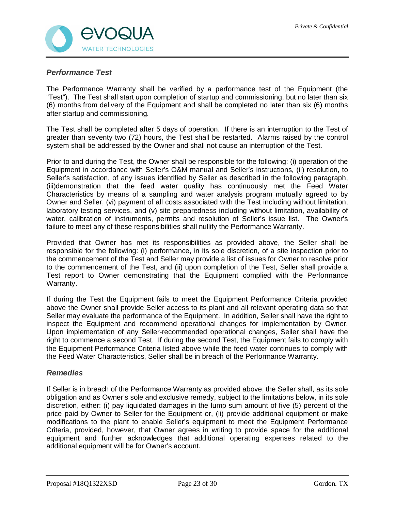

### *Performance Test*

The Performance Warranty shall be verified by a performance test of the Equipment (the "Test"). The Test shall start upon completion of startup and commissioning, but no later than six (6) months from delivery of the Equipment and shall be completed no later than six (6) months after startup and commissioning.

The Test shall be completed after 5 days of operation. If there is an interruption to the Test of greater than seventy two (72) hours, the Test shall be restarted. Alarms raised by the control system shall be addressed by the Owner and shall not cause an interruption of the Test.

Prior to and during the Test, the Owner shall be responsible for the following: (i) operation of the Equipment in accordance with Seller's O&M manual and Seller's instructions, (ii) resolution, to Seller's satisfaction, of any issues identified by Seller as described in the following paragraph, (iii)demonstration that the feed water quality has continuously met the Feed Water Characteristics by means of a sampling and water analysis program mutually agreed to by Owner and Seller, (vi) payment of all costs associated with the Test including without limitation, laboratory testing services, and (v) site preparedness including without limitation, availability of water, calibration of instruments, permits and resolution of Seller's issue list. The Owner's failure to meet any of these responsibilities shall nullify the Performance Warranty.

Provided that Owner has met its responsibilities as provided above, the Seller shall be responsible for the following: (i) performance, in its sole discretion, of a site inspection prior to the commencement of the Test and Seller may provide a list of issues for Owner to resolve prior to the commencement of the Test, and (ii) upon completion of the Test, Seller shall provide a Test report to Owner demonstrating that the Equipment complied with the Performance Warranty.

If during the Test the Equipment fails to meet the Equipment Performance Criteria provided above the Owner shall provide Seller access to its plant and all relevant operating data so that Seller may evaluate the performance of the Equipment. In addition, Seller shall have the right to inspect the Equipment and recommend operational changes for implementation by Owner. Upon implementation of any Seller-recommended operational changes, Seller shall have the right to commence a second Test. If during the second Test, the Equipment fails to comply with the Equipment Performance Criteria listed above while the feed water continues to comply with the Feed Water Characteristics, Seller shall be in breach of the Performance Warranty.

### *Remedies*

If Seller is in breach of the Performance Warranty as provided above, the Seller shall, as its sole obligation and as Owner's sole and exclusive remedy, subject to the limitations below, in its sole discretion, either: (i) pay liquidated damages in the lump sum amount of five (5) percent of the price paid by Owner to Seller for the Equipment or, (ii) provide additional equipment or make modifications to the plant to enable Seller's equipment to meet the Equipment Performance Criteria, provided, however, that Owner agrees in writing to provide space for the additional equipment and further acknowledges that additional operating expenses related to the additional equipment will be for Owner's account.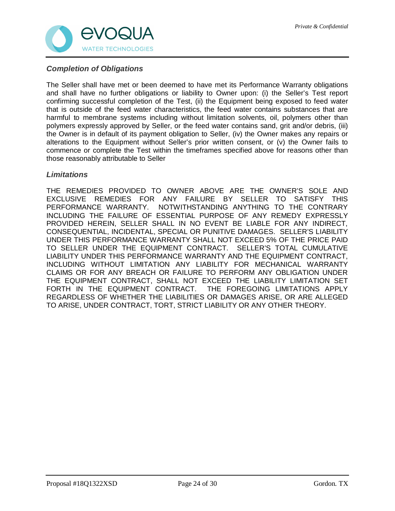

### *Completion of Obligations*

The Seller shall have met or been deemed to have met its Performance Warranty obligations and shall have no further obligations or liability to Owner upon: (i) the Seller's Test report confirming successful completion of the Test, (ii) the Equipment being exposed to feed water that is outside of the feed water characteristics, the feed water contains substances that are harmful to membrane systems including without limitation solvents, oil, polymers other than polymers expressly approved by Seller, or the feed water contains sand, grit and/or debris, (iii) the Owner is in default of its payment obligation to Seller, (iv) the Owner makes any repairs or alterations to the Equipment without Seller's prior written consent, or (v) the Owner fails to commence or complete the Test within the timeframes specified above for reasons other than those reasonably attributable to Seller

#### *Limitations*

THE REMEDIES PROVIDED TO OWNER ABOVE ARE THE OWNER'S SOLE AND EXCLUSIVE REMEDIES FOR ANY FAILURE BY SELLER TO SATISFY THIS PERFORMANCE WARRANTY. NOTWITHSTANDING ANYTHING TO THE CONTRARY INCLUDING THE FAILURE OF ESSENTIAL PURPOSE OF ANY REMEDY EXPRESSLY PROVIDED HEREIN, SELLER SHALL IN NO EVENT BE LIABLE FOR ANY INDIRECT, CONSEQUENTIAL, INCIDENTAL, SPECIAL OR PUNITIVE DAMAGES. SELLER'S LIABILITY UNDER THIS PERFORMANCE WARRANTY SHALL NOT EXCEED 5% OF THE PRICE PAID TO SELLER UNDER THE EQUIPMENT CONTRACT. SELLER'S TOTAL CUMULATIVE LIABILITY UNDER THIS PERFORMANCE WARRANTY AND THE EQUIPMENT CONTRACT, INCLUDING WITHOUT LIMITATION ANY LIABILITY FOR MECHANICAL WARRANTY CLAIMS OR FOR ANY BREACH OR FAILURE TO PERFORM ANY OBLIGATION UNDER THE EQUIPMENT CONTRACT, SHALL NOT EXCEED THE LIABILITY LIMITATION SET FORTH IN THE EQUIPMENT CONTRACT. THE FOREGOING LIMITATIONS APPLY REGARDLESS OF WHETHER THE LIABILITIES OR DAMAGES ARISE, OR ARE ALLEGED TO ARISE, UNDER CONTRACT, TORT, STRICT LIABILITY OR ANY OTHER THEORY.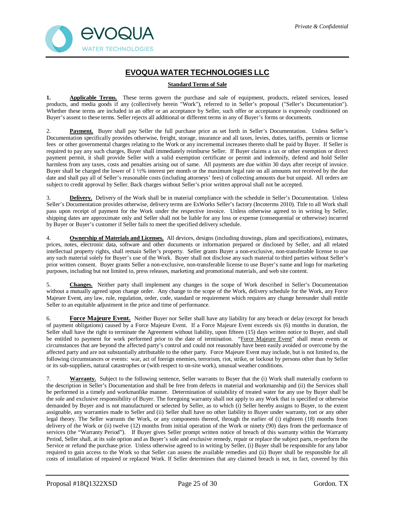

### **EVOQUA WATER TECHNOLOGIES LLC**

#### **Standard Terms of Sale**

1. **Applicable Terms.** These terms govern the purchase and sale of equipment, products, related services, leased products, and media goods if any (collectively herein "Work"), referred to in Seller's proposal ("Seller's Documentation"). Whether these terms are included in an offer or an acceptance by Seller, such offer or acceptance is expressly conditioned on Buyer's assent to these terms. Seller rejects all additional or different terms in any of Buyer's forms or documents.

2. **Payment.** Buyer shall pay Seller the full purchase price as set forth in Seller's Documentation. Unless Seller's Documentation specifically provides otherwise, freight, storage, insurance and all taxes, levies, duties, tariffs, permits or license fees or other governmental charges relating to the Work or any incremental increases thereto shall be paid by Buyer. If Seller is required to pay any such charges, Buyer shall immediately reimburse Seller. If Buyer claims a tax or other exemption or direct payment permit, it shall provide Seller with a valid exemption certificate or permit and indemnify, defend and hold Seller harmless from any taxes, costs and penalties arising out of same. All payments are due within 30 days after receipt of invoice. Buyer shall be charged the lower of 1 ½% interest per month or the maximum legal rate on all amounts not received by the due date and shall pay all of Seller's reasonable costs (including attorneys' fees) of collecting amounts due but unpaid. All orders are subject to credit approval by Seller. Back charges without Seller's prior written approval shall not be accepted.

3. **Delivery.** Delivery of the Work shall be in material compliance with the schedule in Seller's Documentation. Unless Seller's Documentation provides otherwise, delivery terms are ExWorks Seller's factory (Incoterms 2010). Title to all Work shall pass upon receipt of payment for the Work under the respective invoice. Unless otherwise agreed to in writing by Seller, shipping dates are approximate only and Seller shall not be liable for any loss or expense (consequential or otherwise) incurred by Buyer or Buyer's customer if Seller fails to meet the specified delivery schedule.

4. **Ownership of Materials and Licenses.** All devices, designs (including drawings, plans and specifications), estimates, prices, notes, electronic data, software and other documents or information prepared or disclosed by Seller, and all related intellectual property rights, shall remain Seller's property. Seller grants Buyer a non-exclusive, non-transferable license to use any such material solely for Buyer's use of the Work. Buyer shall not disclose any such material to third parties without Seller's prior written consent. Buyer grants Seller a non-exclusive, non-transferable license to use Buyer's name and logo for marketing purposes, including but not limited to, press releases, marketing and promotional materials, and web site content.

5. **Changes.** Neither party shall implement any changes in the scope of Work described in Seller's Documentation without a mutually agreed upon change order. Any change to the scope of the Work, delivery schedule for the Work, any Force Majeure Event, any law, rule, regulation, order, code, standard or requirement which requires any change hereunder shall entitle Seller to an equitable adjustment in the price and time of performance.

6. **Force Majeure Event.** Neither Buyer nor Seller shall have any liability for any breach or delay (except for breach of payment obligations) caused by a Force Majeure Event. If a Force Majeure Event exceeds six (6) months in duration, the Seller shall have the right to terminate the Agreement without liability, upon fifteen (15) days written notice to Buyer, and shall be entitled to payment for work performed prior to the date of termination. "Force Majeure Event" shall mean events or circumstances that are beyond the affected party's control and could not reasonably have been easily avoided or overcome by the affected party and are not substantially attributable to the other party. Force Majeure Event may include, but is not limited to, the following circumstances or events: war, act of foreign enemies, terrorism, riot, strike, or lockout by persons other than by Seller or its sub-suppliers, natural catastrophes or (with respect to on-site work), unusual weather conditions.

7. **Warranty.** Subject to the following sentence, Seller warrants to Buyer that the (i) Work shall materially conform to the description in Seller's Documentation and shall be free from defects in material and workmanship and (ii) the Services shall be performed in a timely and workmanlike manner. Determination of suitability of treated water for any use by Buyer shall be the sole and exclusive responsibility of Buyer. The foregoing warranty shall not apply to any Work that is specified or otherwise demanded by Buyer and is not manufactured or selected by Seller, as to which (i) Seller hereby assigns to Buyer, to the extent assignable, any warranties made to Seller and (ii) Seller shall have no other liability to Buyer under warranty, tort or any other legal theory. The Seller warrants the Work, or any components thereof, through the earlier of (i) eighteen (18) months from delivery of the Work or (ii) twelve (12) months from initial operation of the Work or ninety (90) days from the performance of services (the "Warranty Period"). If Buyer gives Seller prompt written notice of breach of this warranty within the Warranty Period, Seller shall, at its sole option and as Buyer's sole and exclusive remedy, repair or replace the subject parts, re-perform the Service or refund the purchase price. Unless otherwise agreed to in writing by Seller, (i) Buyer shall be responsible for any labor required to gain access to the Work so that Seller can assess the available remedies and (ii) Buyer shall be responsible for all costs of installation of repaired or replaced Work. If Seller determines that any claimed breach is not, in fact, covered by this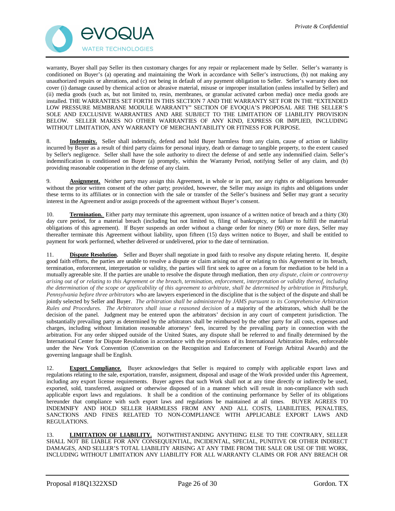

warranty, Buyer shall pay Seller its then customary charges for any repair or replacement made by Seller. Seller's warranty is conditioned on Buyer's (a) operating and maintaining the Work in accordance with Seller's instructions, (b) not making any unauthorized repairs or alterations, and (c) not being in default of any payment obligation to Seller. Seller's warranty does not cover (i) damage caused by chemical action or abrasive material, misuse or improper installation (unless installed by Seller) and (ii) media goods (such as, but not limited to, resin, membranes, or granular activated carbon media) once media goods are installed. THE WARRANTIES SET FORTH IN THIS SECTION 7 AND THE WARRANTY SET FOR IN THE "EXTENDED LOW PRESSURE MEMBRANE MODULE WARRANTY" SECTION OF EVOQUA'S PROPOSAL ARE THE SELLER'S SOLE AND EXCLUSIVE WARRANTIES AND ARE SUBJECT TO THE LIMITATION OF LIABILITY PROVISION BELOW. SELLER MAKES NO OTHER WARRANTIES OF ANY KIND, EXPRESS OR IMPLIED, INCLUDING WITHOUT LIMITATION, ANY WARRANTY OF MERCHANTABILITY OR FITNESS FOR PURPOSE.

8. **Indemnity.** Seller shall indemnify, defend and hold Buyer harmless from any claim, cause of action or liability incurred by Buyer as a result of third party claims for personal injury, death or damage to tangible property, to the extent caused by Seller's negligence. Seller shall have the sole authority to direct the defense of and settle any indemnified claim. Seller's indemnification is conditioned on Buyer (a) promptly, within the Warranty Period, notifying Seller of any claim, and (b) providing reasonable cooperation in the defense of any claim.

9. **Assignment.** Neither party may assign this Agreement, in whole or in part, nor any rights or obligations hereunder without the prior written consent of the other party; provided, however, the Seller may assign its rights and obligations under these terms to its affiliates or in connection with the sale or transfer of the Seller's business and Seller may grant a security interest in the Agreement and/or assign proceeds of the agreement without Buyer's consent.

10. **Termination.** Either party may terminate this agreement, upon issuance of a written notice of breach and a thirty (30) day cure period, for a material breach (including but not limited to, filing of bankruptcy, or failure to fulfill the material obligations of this agreement). If Buyer suspends an order without a change order for ninety (90) or more days, Seller may thereafter terminate this Agreement without liability, upon fifteen (15) days written notice to Buyer, and shall be entitled to payment for work performed, whether delivered or undelivered, prior to the date of termination.

11. **Dispute Resolution.** Seller and Buyer shall negotiate in good faith to resolve any dispute relating hereto. If, despite good faith efforts, the parties are unable to resolve a dispute or claim arising out of or relating to this Agreement or its breach, termination, enforcement, interpretation or validity, the parties will first seek to agree on a forum for mediation to be held in a mutually agreeable site. If the parties are unable to resolve the dispute through mediation, then *any dispute, claim or controversy arising out of or relating to this Agreement or the breach, termination, enforcement, interpretation or validity thereof, including the determination of the scope or applicability of this agreement to arbitrate, shall be determined by arbitration in Pittsburgh, Pennsylvania before three arbitrators* who are lawyers experienced in the discipline that is the subject of the dispute and shall be jointly selected by Seller and Buyer. *The arbitration shall be administered by JAMS pursuant to its Comprehensive Arbitration Rules and Procedures. The Arbitrators shall issue a reasoned decision* of a majority of the arbitrators, which shall be the decision of the panel. Judgment may be entered upon the arbitrators' decision in any court of competent jurisdiction. The substantially prevailing party as determined by the arbitrators shall be reimbursed by the other party for all costs, expenses and charges, including without limitation reasonable attorneys' fees, incurred by the prevailing party in connection with the arbitration. For any order shipped outside of the United States, any dispute shall be referred to and finally determined by the International Center for Dispute Resolution in accordance with the provisions of its International Arbitration Rules, enforceable under the New York Convention (Convention on the Recognition and Enforcement of Foreign Arbitral Awards) and the governing language shall be English.

12. **Export Compliance**. Buyer acknowledges that Seller is required to comply with applicable export laws and regulations relating to the sale, exportation, transfer, assignment, disposal and usage of the Work provided under this Agreement, including any export license requirements. Buyer agrees that such Work shall not at any time directly or indirectly be used, exported, sold, transferred, assigned or otherwise disposed of in a manner which will result in non-compliance with such applicable export laws and regulations. It shall be a condition of the continuing performance by Seller of its obligations hereunder that compliance with such export laws and regulations be maintained at all times. BUYER AGREES TO INDEMNIFY AND HOLD SELLER HARMLESS FROM ANY AND ALL COSTS, LIABILITIES, PENALTIES, SANCTIONS AND FINES RELATED TO NON-COMPLIANCE WITH APPLICABLE EXPORT LAWS AND REGULATIONS.

13. **LIMITATION OF LIABILITY.** NOTWITHSTANDING ANYTHING ELSE TO THE CONTRARY, SELLER SHALL NOT BE LIABLE FOR ANY CONSEQUENTIAL, INCIDENTAL, SPECIAL, PUNITIVE OR OTHER INDIRECT DAMAGES, AND SELLER'S TOTAL LIABILITY ARISING AT ANY TIME FROM THE SALE OR USE OF THE WORK, INCLUDING WITHOUT LIMITATION ANY LIABILITY FOR ALL WARRANTY CLAIMS OR FOR ANY BREACH OR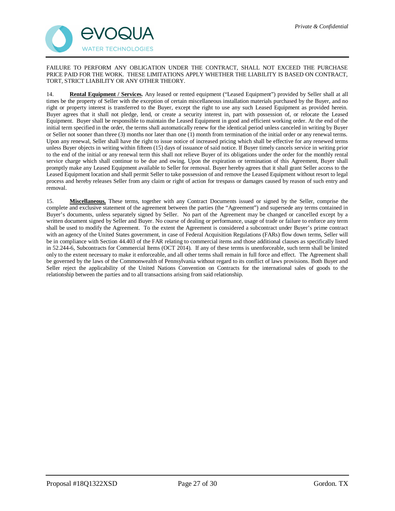

FAILURE TO PERFORM ANY OBLIGATION UNDER THE CONTRACT, SHALL NOT EXCEED THE PURCHASE PRICE PAID FOR THE WORK. THESE LIMITATIONS APPLY WHETHER THE LIABILITY IS BASED ON CONTRACT, TORT, STRICT LIABILITY OR ANY OTHER THEORY.

14. **Rental Equipment / Services.** Any leased or rented equipment ("Leased Equipment") provided by Seller shall at all times be the property of Seller with the exception of certain miscellaneous installation materials purchased by the Buyer, and no right or property interest is transferred to the Buyer, except the right to use any such Leased Equipment as provided herein. Buyer agrees that it shall not pledge, lend, or create a security interest in, part with possession of, or relocate the Leased Equipment. Buyer shall be responsible to maintain the Leased Equipment in good and efficient working order. At the end of the initial term specified in the order, the terms shall automatically renew for the identical period unless canceled in writing by Buyer or Seller not sooner than three (3) months nor later than one (1) month from termination of the initial order or any renewal terms. Upon any renewal, Seller shall have the right to issue notice of increased pricing which shall be effective for any renewed terms unless Buyer objects in writing within fifteen (15) days of issuance of said notice. If Buyer timely cancels service in writing prior to the end of the initial or any renewal term this shall not relieve Buyer of its obligations under the order for the monthly rental service charge which shall continue to be due and owing. Upon the expiration or termination of this Agreement, Buyer shall promptly make any Leased Equipment available to Seller for removal. Buyer hereby agrees that it shall grant Seller access to the Leased Equipment location and shall permit Seller to take possession of and remove the Leased Equipment without resort to legal process and hereby releases Seller from any claim or right of action for trespass or damages caused by reason of such entry and removal.

15. **Miscellaneous.** These terms, together with any Contract Documents issued or signed by the Seller, comprise the complete and exclusive statement of the agreement between the parties (the "Agreement") and supersede any terms contained in Buyer's documents, unless separately signed by Seller. No part of the Agreement may be changed or cancelled except by a written document signed by Seller and Buyer. No course of dealing or performance, usage of trade or failure to enforce any term shall be used to modify the Agreement. To the extent the Agreement is considered a subcontract under Buyer's prime contract with an agency of the United States government, in case of Federal Acquisition Regulations (FARs) flow down terms, Seller will be in compliance with Section 44.403 of the FAR relating to commercial items and those additional clauses as specifically listed in 52.244-6, Subcontracts for Commercial Items (OCT 2014). If any of these terms is unenforceable, such term shall be limited only to the extent necessary to make it enforceable, and all other terms shall remain in full force and effect. The Agreement shall be governed by the laws of the Commonwealth of Pennsylvania without regard to its conflict of laws provisions. Both Buyer and Seller reject the applicability of the United Nations Convention on Contracts for the international sales of goods to the relationship between the parties and to all transactions arising from said relationship.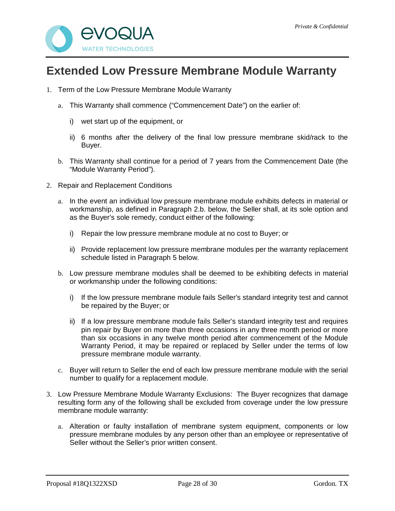

## **Extended Low Pressure Membrane Module Warranty**

- 1. Term of the Low Pressure Membrane Module Warranty
	- a. This Warranty shall commence ("Commencement Date") on the earlier of:
		- i) wet start up of the equipment, or
		- ii) 6 months after the delivery of the final low pressure membrane skid/rack to the Buyer.
	- b. This Warranty shall continue for a period of 7 years from the Commencement Date (the "Module Warranty Period").
- 2. Repair and Replacement Conditions
	- a. In the event an individual low pressure membrane module exhibits defects in material or workmanship, as defined in Paragraph 2.b. below, the Seller shall, at its sole option and as the Buyer's sole remedy, conduct either of the following:
		- i) Repair the low pressure membrane module at no cost to Buyer; or
		- ii) Provide replacement low pressure membrane modules per the warranty replacement schedule listed in Paragraph 5 below.
	- b. Low pressure membrane modules shall be deemed to be exhibiting defects in material or workmanship under the following conditions:
		- i) If the low pressure membrane module fails Seller's standard integrity test and cannot be repaired by the Buyer; or
		- ii) If a low pressure membrane module fails Seller's standard integrity test and requires pin repair by Buyer on more than three occasions in any three month period or more than six occasions in any twelve month period after commencement of the Module Warranty Period, it may be repaired or replaced by Seller under the terms of low pressure membrane module warranty.
	- c. Buyer will return to Seller the end of each low pressure membrane module with the serial number to qualify for a replacement module.
- 3. Low Pressure Membrane Module Warranty Exclusions: The Buyer recognizes that damage resulting form any of the following shall be excluded from coverage under the low pressure membrane module warranty:
	- a. Alteration or faulty installation of membrane system equipment, components or low pressure membrane modules by any person other than an employee or representative of Seller without the Seller's prior written consent.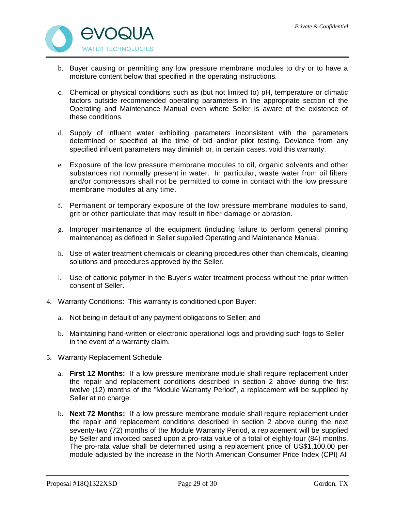

- b. Buyer causing or permitting any low pressure membrane modules to dry or to have a moisture content below that specified in the operating instructions.
- c. Chemical or physical conditions such as (but not limited to) pH, temperature or climatic factors outside recommended operating parameters in the appropriate section of the Operating and Maintenance Manual even where Seller is aware of the existence of these conditions.
- d. Supply of influent water exhibiting parameters inconsistent with the parameters determined or specified at the time of bid and/or pilot testing. Deviance from any specified influent parameters may diminish or, in certain cases, void this warranty.
- e. Exposure of the low pressure membrane modules to oil, organic solvents and other substances not normally present in water. In particular, waste water from oil filters and/or compressors shall not be permitted to come in contact with the low pressure membrane modules at any time.
- f. Permanent or temporary exposure of the low pressure membrane modules to sand, grit or other particulate that may result in fiber damage or abrasion.
- g. Improper maintenance of the equipment (including failure to perform general pinning maintenance) as defined in Seller supplied Operating and Maintenance Manual.
- h. Use of water treatment chemicals or cleaning procedures other than chemicals, cleaning solutions and procedures approved by the Seller.
- i. Use of cationic polymer in the Buyer's water treatment process without the prior written consent of Seller.
- 4. Warranty Conditions: This warranty is conditioned upon Buyer:
	- a. Not being in default of any payment obligations to Seller; and
	- b. Maintaining hand-written or electronic operational logs and providing such logs to Seller in the event of a warranty claim.
- 5. Warranty Replacement Schedule
	- a. **First 12 Months:** If a low pressure membrane module shall require replacement under the repair and replacement conditions described in section 2 above during the first twelve (12) months of the "Module Warranty Period", a replacement will be supplied by Seller at no charge.
	- b. **Next 72 Months:** If a low pressure membrane module shall require replacement under the repair and replacement conditions described in section 2 above during the next seventy-two (72) months of the Module Warranty Period, a replacement will be supplied by Seller and invoiced based upon a pro-rata value of a total of eighty-four (84) months. The pro-rata value shall be determined using a replacement price of US\$1,100.00 per module adjusted by the increase in the North American Consumer Price Index (CPI) All